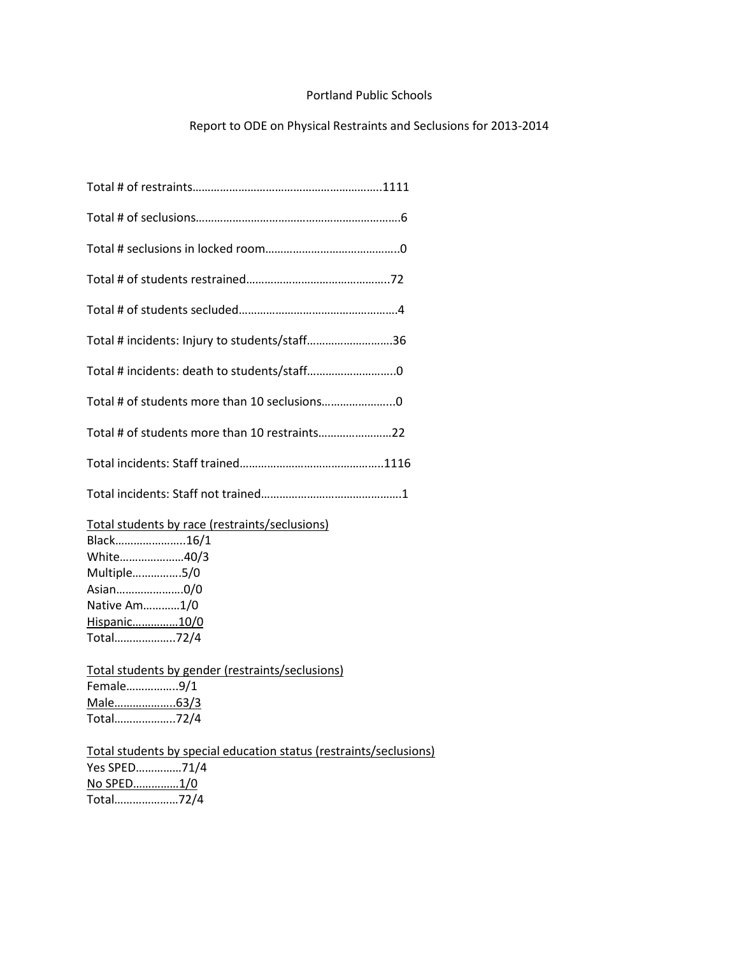## Portland Public Schools

## Report to ODE on Physical Restraints and Seclusions for 2013-2014

| Total # incidents: Injury to students/staff36                                                                                                                                                                                              |
|--------------------------------------------------------------------------------------------------------------------------------------------------------------------------------------------------------------------------------------------|
|                                                                                                                                                                                                                                            |
|                                                                                                                                                                                                                                            |
| Total # of students more than 10 restraints22                                                                                                                                                                                              |
|                                                                                                                                                                                                                                            |
|                                                                                                                                                                                                                                            |
| Total students by race (restraints/seclusions)<br>Black16/1<br>White40/3<br>Multiple5/0<br>Asian0/0<br>Native Am1/0<br>Hispanic10/0<br>Total72/4<br>Total students by gender (restraints/seclusions)<br>Female9/1<br>Male63/3<br>Total72/4 |
| Total students by special education status (restraints/seclusions)<br>Yes SPED71/4                                                                                                                                                         |

No SPED……………1/0 Total…………………72/4